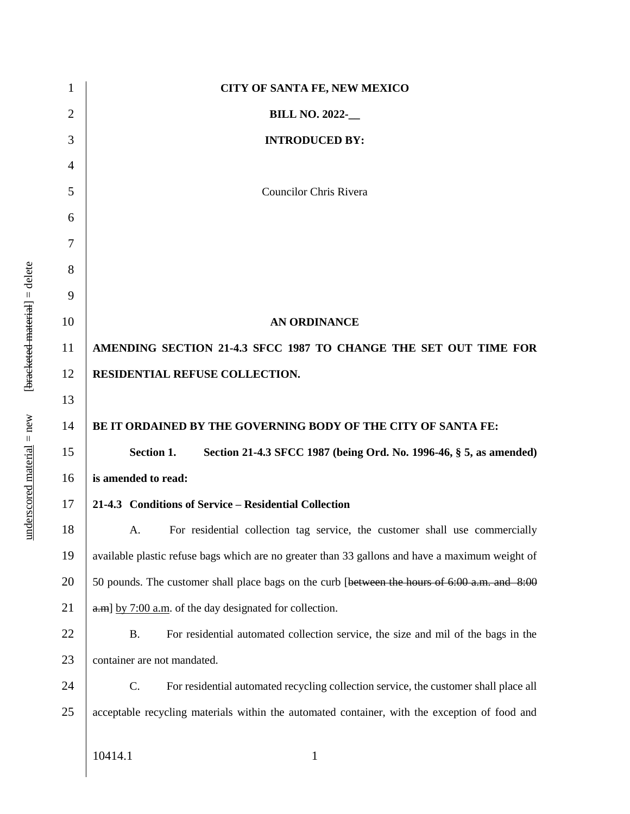| CITY OF SANTA FE, NEW MEXICO                                                                    |
|-------------------------------------------------------------------------------------------------|
| <b>BILL NO. 2022-</b>                                                                           |
| <b>INTRODUCED BY:</b>                                                                           |
|                                                                                                 |
| <b>Councilor Chris Rivera</b>                                                                   |
|                                                                                                 |
|                                                                                                 |
|                                                                                                 |
|                                                                                                 |
| <b>AN ORDINANCE</b>                                                                             |
| AMENDING SECTION 21-4.3 SFCC 1987 TO CHANGE THE SET OUT TIME FOR                                |
| RESIDENTIAL REFUSE COLLECTION.                                                                  |
|                                                                                                 |
| BE IT ORDAINED BY THE GOVERNING BODY OF THE CITY OF SANTA FE:                                   |
| <b>Section 1.</b><br>Section 21-4.3 SFCC 1987 (being Ord. No. 1996-46, § 5, as amended)         |
| is amended to read:                                                                             |
| 21-4.3 Conditions of Service – Residential Collection                                           |
| For residential collection tag service, the customer shall use commercially<br>A.               |
| available plastic refuse bags which are no greater than 33 gallons and have a maximum weight of |
| 50 pounds. The customer shall place bags on the curb [between the hours of 6:00 a.m. and 8:00   |
| $[$ a.m] by 7:00 a.m. of the day designated for collection.                                     |
| <b>B.</b><br>For residential automated collection service, the size and mil of the bags in the  |
| container are not mandated.                                                                     |
| C.<br>For residential automated recycling collection service, the customer shall place all      |
| acceptable recycling materials within the automated container, with the exception of food and   |
| 10414.1<br>$\mathbf{1}$                                                                         |
|                                                                                                 |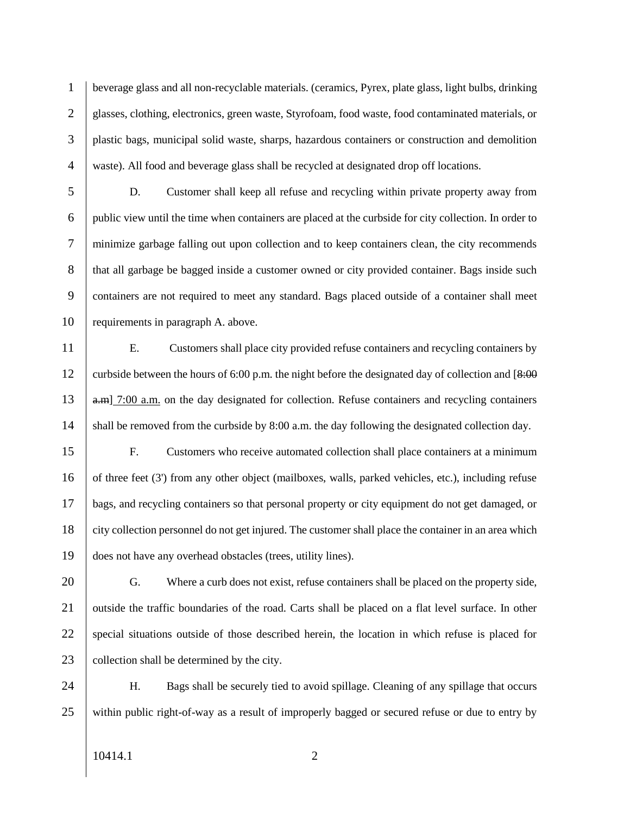beverage glass and all non-recyclable materials. (ceramics, Pyrex, plate glass, light bulbs, drinking 2 glasses, clothing, electronics, green waste, Styrofoam, food waste, food contaminated materials, or plastic bags, municipal solid waste, sharps, hazardous containers or construction and demolition waste). All food and beverage glass shall be recycled at designated drop off locations.

 D. Customer shall keep all refuse and recycling within private property away from public view until the time when containers are placed at the curbside for city collection. In order to minimize garbage falling out upon collection and to keep containers clean, the city recommends 8 that all garbage be bagged inside a customer owned or city provided container. Bags inside such containers are not required to meet any standard. Bags placed outside of a container shall meet 10 requirements in paragraph A. above.

11 E. Customers shall place city provided refuse containers and recycling containers by 12 curbside between the hours of 6:00 p.m. the night before the designated day of collection and  $[8:00]$  $13$  a.m. on the day designated for collection. Refuse containers and recycling containers 14 shall be removed from the curbside by 8:00 a.m. the day following the designated collection day.

15 F. Customers who receive automated collection shall place containers at a minimum 16 of three feet (3') from any other object (mailboxes, walls, parked vehicles, etc.), including refuse 17 bags, and recycling containers so that personal property or city equipment do not get damaged, or 18 city collection personnel do not get injured. The customer shall place the container in an area which 19 does not have any overhead obstacles (trees, utility lines).

20 G. Where a curb does not exist, refuse containers shall be placed on the property side, 21 outside the traffic boundaries of the road. Carts shall be placed on a flat level surface. In other 22 special situations outside of those described herein, the location in which refuse is placed for 23 collection shall be determined by the city.

24 H. Bags shall be securely tied to avoid spillage. Cleaning of any spillage that occurs 25 within public right-of-way as a result of improperly bagged or secured refuse or due to entry by

10414.1 2